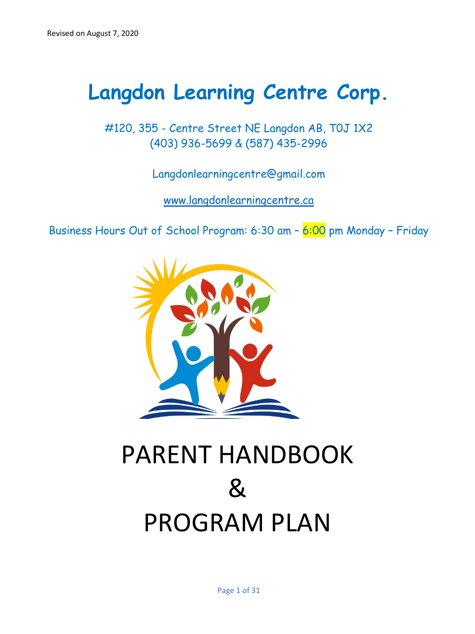## **Langdon Learning Centre Corp.**

#120, 355 - Centre Street NE Langdon AB, T0J 1X2 (403) 936-5699 & (587) 435-2996

Langdonlearningcentre@gmail.com

[www.l](about:blank)angdonlearningcentre.ca

Business Hours Out of School Program: 6:30 am – 6:00 pm Monday – Friday



# PARENT HANDBOOK & PROGRAM PLAN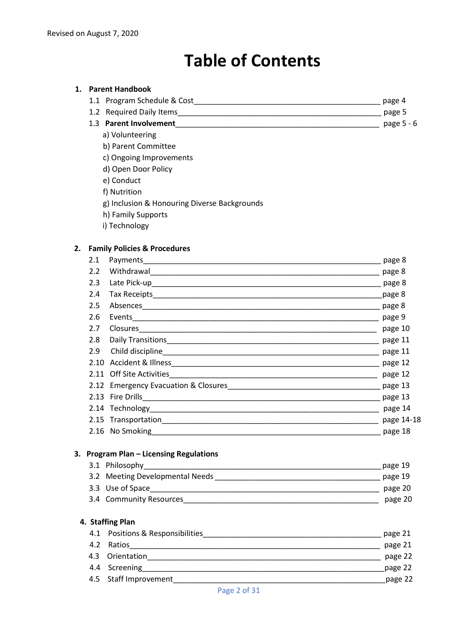## **Table of Contents**

#### **1. Parent Handbook**

| 1.1 Program Schedule & Cost | page 4 |
|-----------------------------|--------|
| 1.2 Required Daily Items    | page 5 |

- 1.3 **Parent Involvement**\_\_\_\_\_\_\_\_\_\_\_\_\_\_\_\_\_\_\_\_\_\_\_\_\_\_\_\_\_\_\_\_\_\_\_\_\_\_\_\_\_\_\_\_\_\_\_\_ page 5 6
	- a) Volunteering
	- b) Parent Committee
	- c) Ongoing Improvements
	- d) Open Door Policy
	- e) Conduct
	- f) Nutrition
	- g) Inclusion & Honouring Diverse Backgrounds
	- h) Family Supports
	- i) Technology

#### **2. Family Policies & Procedures**

| 2.1           |                 | page 8          |
|---------------|-----------------|-----------------|
| $2.2^{\circ}$ |                 | $\qquad$ page 8 |
| 2.3           |                 | page 8          |
| 2.4           |                 | page 8          |
| 2.5           |                 | page 8          |
| 2.6           |                 | page 9          |
| 2.7           |                 | page 10         |
| 2.8           |                 | page 11         |
| 2.9           |                 | page 11         |
|               |                 |                 |
|               |                 | page 12         |
|               |                 |                 |
|               |                 | page 13         |
|               |                 | page 14         |
|               |                 | page 14-18      |
|               | 2.16 No Smoking | page 18         |
|               |                 |                 |

#### **3. Program Plan – Licensing Regulations**

| 3.1 Philosophy                  | page 19 |
|---------------------------------|---------|
| 3.2 Meeting Developmental Needs | page 19 |
| 3.3 Use of Space                | page 20 |
| 3.4 Community Resources         | page 20 |

#### **4. Staffing Plan**

| 4.1 Positions & Responsibilities | page 21 |
|----------------------------------|---------|
| 4.2 Ratios                       | page 21 |
| 4.3 Orientation                  | page 22 |
| 4.4 Screening                    | page 22 |
| 4.5 Staff Improvement            | page 22 |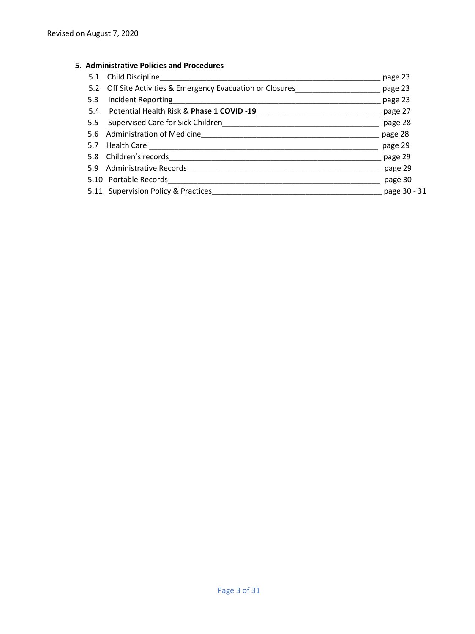#### **5. Administrative Policies and Procedures**

|     | 5.1 Child Discipline                                       | page 23      |
|-----|------------------------------------------------------------|--------------|
|     | 5.2 Off Site Activities & Emergency Evacuation or Closures | page 23      |
| 5.3 |                                                            | page 23      |
|     | 5.4 Potential Health Risk & Phase 1 COVID -19              | page 27      |
|     |                                                            | page 28      |
|     | 5.6 Administration of Medicine                             | page 28      |
|     |                                                            | page 29      |
|     | 5.8 Children's records <b>Children's records</b>           | page 29      |
|     | 5.9 Administrative Records                                 | page 29      |
|     | 5.10 Portable Records                                      | page 30      |
|     | 5.11 Supervision Policy & Practices                        | page 30 - 31 |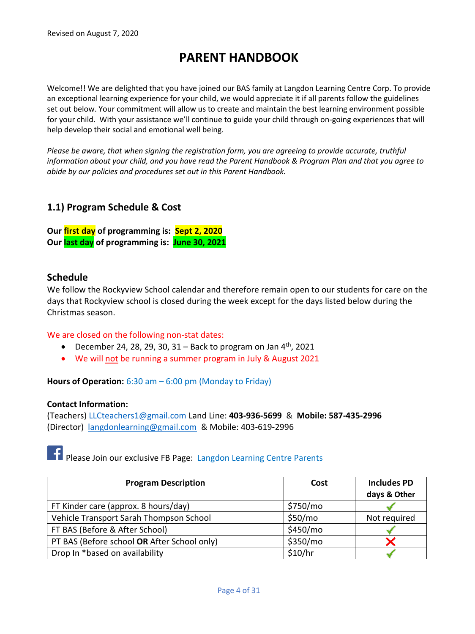## **PARENT HANDBOOK**

Welcome!! We are delighted that you have joined our BAS family at Langdon Learning Centre Corp. To provide an exceptional learning experience for your child, we would appreciate it if all parents follow the guidelines set out below. Your commitment will allow us to create and maintain the best learning environment possible for your child. With your assistance we'll continue to guide your child through on-going experiences that will help develop their social and emotional well being.

*Please be aware, that when signing the registration form, you are agreeing to provide accurate, truthful information about your child, and you have read the Parent Handbook & Program Plan and that you agree to abide by our policies and procedures set out in this Parent Handbook.* 

### **1.1) Program Schedule & Cost**

**Our first day of programming is: Sept 2, 2020 Our last day of programming is: June 30, 2021**

#### **Schedule**

We follow the Rockyview School calendar and therefore remain open to our students for care on the days that Rockyview school is closed during the week except for the days listed below during the Christmas season.

#### We are closed on the following non-stat dates:

- December 24, 28, 29, 30, 31 Back to program on Jan  $4<sup>th</sup>$ , 2021
- We will not be running a summer program in July & August 2021

**Hours of Operation:** 6:30 am – 6:00 pm (Monday to Friday)

#### **Contact Information:**

(Teachers) [LLCteachers1@gmail.com](about:blank) Land Line: **403-936-5699** & **Mobile: 587-435-2996** (Director) [langdonlearning@gmail.com](about:blank) & Mobile: 403-619-2996

Please Join our exclusive FB Page: Langdon Learning Centre Parents

| <b>Program Description</b>                  | Cost     | <b>Includes PD</b> |
|---------------------------------------------|----------|--------------------|
|                                             |          | days & Other       |
| FT Kinder care (approx. 8 hours/day)        | \$750/mo |                    |
| Vehicle Transport Sarah Thompson School     | \$50/mo  | Not required       |
| FT BAS (Before & After School)              | \$450/mo |                    |
| PT BAS (Before school OR After School only) | \$350/mo |                    |
| Drop In *based on availability              | \$10/hr  |                    |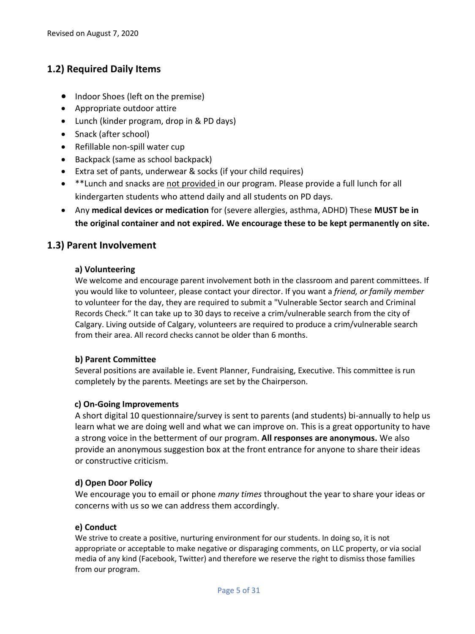## **1.2) Required Daily Items**

- Indoor Shoes (left on the premise)
- Appropriate outdoor attire
- Lunch (kinder program, drop in & PD days)
- Snack (after school)
- Refillable non-spill water cup
- Backpack (same as school backpack)
- Extra set of pants, underwear & socks (if your child requires)
- \*\*Lunch and snacks are not provided in our program. Please provide a full lunch for all kindergarten students who attend daily and all students on PD days.
- Any **medical devices or medication** for (severe allergies, asthma, ADHD) These **MUST be in the original container and not expired. We encourage these to be kept permanently on site.**

## **1.3) Parent Involvement**

#### **a) Volunteering**

We welcome and encourage parent involvement both in the classroom and parent committees. If you would like to volunteer, please contact your director. If you want a *friend, or family member*  to volunteer for the day, they are required to submit a "Vulnerable Sector search and Criminal Records Check." It can take up to 30 days to receive a crim/vulnerable search from the city of Calgary. Living outside of Calgary, volunteers are required to produce a crim/vulnerable search from their area. All record checks cannot be older than 6 months.

#### **b) Parent Committee**

Several positions are available ie. Event Planner, Fundraising, Executive. This committee is run completely by the parents. Meetings are set by the Chairperson.

#### **c) On-Going Improvements**

A short digital 10 questionnaire/survey is sent to parents (and students) bi-annually to help us learn what we are doing well and what we can improve on. This is a great opportunity to have a strong voice in the betterment of our program. **All responses are anonymous.** We also provide an anonymous suggestion box at the front entrance for anyone to share their ideas or constructive criticism.

#### **d) Open Door Policy**

We encourage you to email or phone *many times* throughout the year to share your ideas or concerns with us so we can address them accordingly.

#### **e) Conduct**

We strive to create a positive, nurturing environment for our students. In doing so, it is not appropriate or acceptable to make negative or disparaging comments, on LLC property, or via social media of any kind (Facebook, Twitter) and therefore we reserve the right to dismiss those families from our program.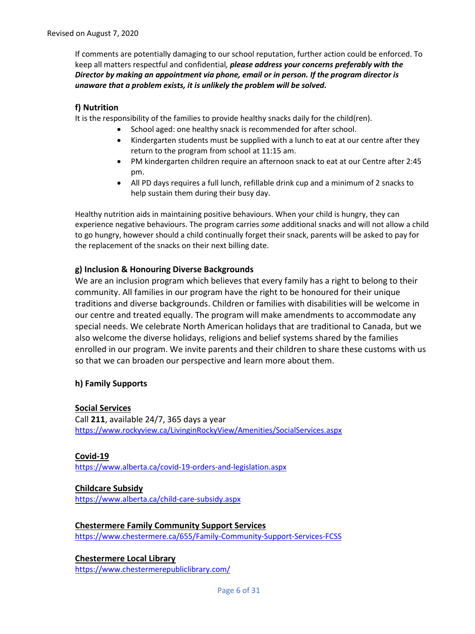If comments are potentially damaging to our school reputation, further action could be enforced. To keep all matters respectful and confidential*, please address your concerns preferably with the Director by making an appointment via phone, email or in person. If the program director is unaware that a problem exists, it is unlikely the problem will be solved.* 

#### **f) Nutrition**

It is the responsibility of the families to provide healthy snacks daily for the child(ren).

- School aged: one healthy snack is recommended for after school.
- Kindergarten students must be supplied with a lunch to eat at our centre after they return to the program from school at 11:15 am.
- PM kindergarten children require an afternoon snack to eat at our Centre after 2:45 pm.
- All PD days requires a full lunch, refillable drink cup and a minimum of 2 snacks to help sustain them during their busy day.

Healthy nutrition aids in maintaining positive behaviours. When your child is hungry, they can experience negative behaviours. The program carries *some* additional snacks and will not allow a child to go hungry, however should a child continually forget their snack, parents will be asked to pay for the replacement of the snacks on their next billing date.

#### **g) Inclusion & Honouring Diverse Backgrounds**

We are an inclusion program which believes that every family has a right to belong to their community. All families in our program have the right to be honoured for their unique traditions and diverse backgrounds. Children or families with disabilities will be welcome in our centre and treated equally. The program will make amendments to accommodate any special needs. We celebrate North American holidays that are traditional to Canada, but we also welcome the diverse holidays, religions and belief systems shared by the families enrolled in our program. We invite parents and their children to share these customs with us so that we can broaden our perspective and learn more about them.

#### **h) Family Supports**

#### **Social Services**

Call **211**, available 24/7, 365 days a year <https://www.rockyview.ca/LivinginRockyView/Amenities/SocialServices.aspx>

**Covid-19** <https://www.alberta.ca/covid-19-orders-and-legislation.aspx>

#### **Childcare Subsidy**

<https://www.alberta.ca/child-care-subsidy.aspx>

#### **Chestermere Family Community Support Services**

<https://www.chestermere.ca/655/Family-Community-Support-Services-FCSS>

**Chestermere Local Library** <https://www.chestermerepubliclibrary.com/>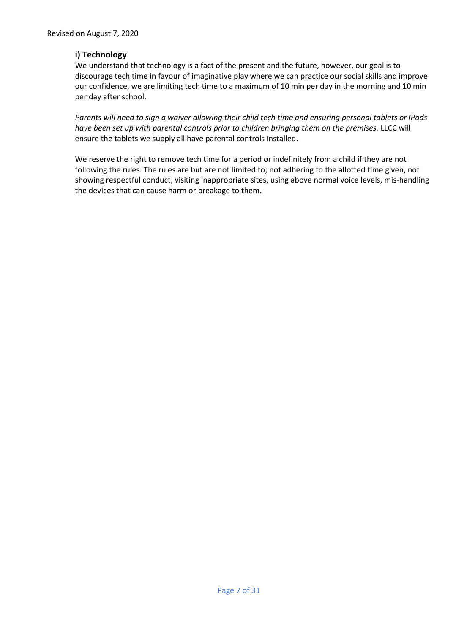#### **i) Technology**

We understand that technology is a fact of the present and the future, however, our goal is to discourage tech time in favour of imaginative play where we can practice our social skills and improve our confidence, we are limiting tech time to a maximum of 10 min per day in the morning and 10 min per day after school.

*Parents will need to sign a waiver allowing their child tech time and ensuring personal tablets or IPads have been set up with parental controls prior to children bringing them on the premises.* LLCC will ensure the tablets we supply all have parental controls installed.

We reserve the right to remove tech time for a period or indefinitely from a child if they are not following the rules. The rules are but are not limited to; not adhering to the allotted time given, not showing respectful conduct, visiting inappropriate sites, using above normal voice levels, mis-handling the devices that can cause harm or breakage to them.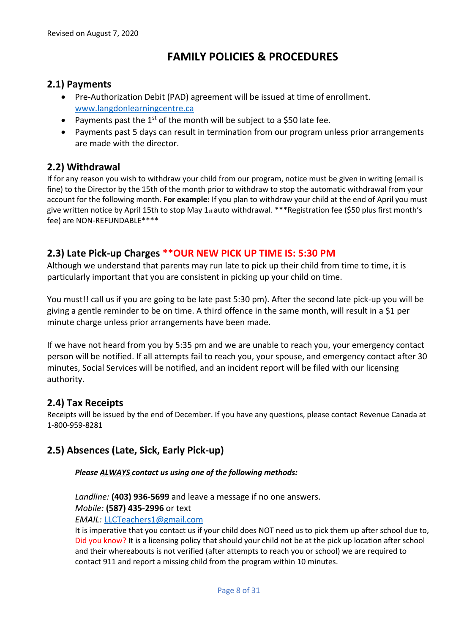## **FAMILY POLICIES & PROCEDURES**

### **2.1) Payments**

- Pre-Authorization Debit (PAD) agreement will be issued at time of enrollment. [www.langdonlearningcentre.ca](about:blank)
- Payments past the  $1<sup>st</sup>$  of the month will be subject to a \$50 late fee.
- Payments past 5 days can result in termination from our program unless prior arrangements are made with the director.

## **2.2) Withdrawal**

If for any reason you wish to withdraw your child from our program, notice must be given in writing (email is fine) to the Director by the 15th of the month prior to withdraw to stop the automatic withdrawal from your account for the following month. **For example:** If you plan to withdraw your child at the end of April you must give written notice by April 15th to stop May 1st auto withdrawal. \*\*\*Registration fee (\$50 plus first month's fee) are NON-REFUNDABLE\*\*\*\*

## **2.3) Late Pick-up Charges \*\*OUR NEW PICK UP TIME IS: 5:30 PM**

Although we understand that parents may run late to pick up their child from time to time, it is particularly important that you are consistent in picking up your child on time.

You must!! call us if you are going to be late past 5:30 pm). After the second late pick-up you will be giving a gentle reminder to be on time. A third offence in the same month, will result in a \$1 per minute charge unless prior arrangements have been made.

If we have not heard from you by 5:35 pm and we are unable to reach you, your emergency contact person will be notified. If all attempts fail to reach you, your spouse, and emergency contact after 30 minutes, Social Services will be notified, and an incident report will be filed with our licensing authority.

## **2.4) Tax Receipts**

Receipts will be issued by the end of December. If you have any questions, please contact Revenue Canada at 1-800-959-8281

## **2.5) Absences (Late, Sick, Early Pick-up)**

#### *Please ALWAYS contact us using one of the following methods:*

*Landline:* **(403) 936-5699** and leave a message if no one answers.

*Mobile:* **(587) 435-2996** or text

*EMAIL:* [LLCTeachers1@gmail.com](mailto:LLCTeachers1@gmail.com)

It is imperative that you contact us if your child does NOT need us to pick them up after school due to, Did you know? It is a licensing policy that should your child not be at the pick up location after school and their whereabouts is not verified (after attempts to reach you or school) we are required to contact 911 and report a missing child from the program within 10 minutes.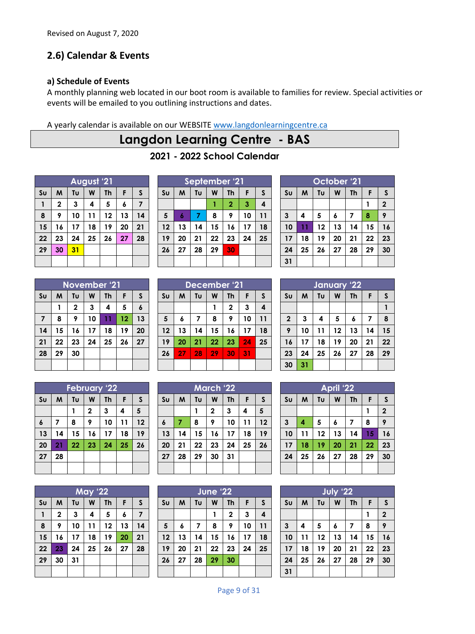## **2.6) Calendar & Events**

#### **a) Schedule of Events**

A monthly planning web located in our boot room is available to families for review. Special activities or events will be emailed to you outlining instructions and dates.

A yearly calendar is available on our WEBSITE [www.langdonlearningcentre.ca](about:blank)

## **Langdon Learning Centre - BAS**

**- 2022 School Calendar**

| August '21             |             |    |    |           |    |    |  |
|------------------------|-------------|----|----|-----------|----|----|--|
| $\mathsf{S}\mathsf{u}$ | M           | Tυ | W  | <b>Th</b> | F  | S  |  |
|                        | $\mathbf 2$ | 3  | 4  | 5         | 6  | 7  |  |
| 8                      | 9           | 10 | 11 | 12        | 13 | 14 |  |
| 15                     | 16          | 17 | 18 | 19        | 20 | 21 |  |
| 22                     | 23          | 24 | 25 | 26        | 27 | 28 |  |
| 29                     | 30          | 31 |    |           |    |    |  |
|                        |             |    |    |           |    |    |  |

| September '21  |    |    |    |                |    |    |  |
|----------------|----|----|----|----------------|----|----|--|
| S <sub>U</sub> | M  | Tυ | W  | <b>Th</b>      | F  | S  |  |
|                |    |    |    | $\overline{2}$ | 3  | 4  |  |
| 5              | 6  | 7  | 8  | 9              | 10 | 11 |  |
| 12             | 13 | 14 | 15 | 16             | 17 | 18 |  |
| 19             | 20 | 21 | 22 | 23             | 24 | 25 |  |
| 26             | 27 | 28 | 29 | 30             |    |    |  |
|                |    |    |    |                |    |    |  |

| October '21    |    |    |    |           |    |                |  |  |
|----------------|----|----|----|-----------|----|----------------|--|--|
| S <sub>U</sub> | M  | Tυ | W  | <b>Th</b> | F  | S              |  |  |
|                |    |    |    |           |    | $\overline{2}$ |  |  |
| 3              | 4  | 5  | 6  | 7         | 8  | 9              |  |  |
| 10             | 11 | 12 | 13 | 14        | 15 | 16             |  |  |
| 17             | 18 | 19 | 20 | 21        | 22 | 23             |  |  |
| 24             | 25 | 26 | 27 | 28        | 29 | 30             |  |  |
| 31             |    |    |    |           |    |                |  |  |

| <b>November '21</b> |    |             |    |           |    |    |  |
|---------------------|----|-------------|----|-----------|----|----|--|
| S <sub>U</sub>      | M  | Tυ          | W  | <b>Th</b> | F  | S  |  |
|                     |    | $\mathbf 2$ | 3  | 4         | 5  | 6  |  |
| $\overline{7}$      | 8  | 9           | 10 | 11        | 12 | 13 |  |
| 14                  | 15 | 16          | 17 | 18        | 19 | 20 |  |
| 21                  | 22 | 23          | 24 | 25        | 26 | 27 |  |
| 28                  | 29 | 30          |    |           |    |    |  |
|                     |    |             |    |           |    |    |  |

| December '21   |    |    |    |              |    |                         |
|----------------|----|----|----|--------------|----|-------------------------|
| S <sub>U</sub> | M  | Tυ | W  | <b>Th</b>    | F  | S                       |
|                |    |    |    | $\mathbf{2}$ | 3  | $\overline{\mathbf{4}}$ |
| 5              | 6  | 7  | 8  | 9            | 10 | 11                      |
| 12             | 13 | 14 | 15 | 16           | 17 | 18                      |
| 19             | 20 | 21 | 22 | 23           | 24 | 25                      |
| 26             | 27 | 28 | 29 | 30           | 31 |                         |
|                |    |    |    |              |    |                         |

| January '22             |    |    |    |           |    |              |  |  |
|-------------------------|----|----|----|-----------|----|--------------|--|--|
| S <sub>U</sub>          | M  | Tυ | W  | <b>Th</b> | F  | $\mathsf{s}$ |  |  |
|                         |    |    |    |           |    |              |  |  |
| $\overline{\mathbf{2}}$ | 3  | 4  | 5  | 6         | 7  | 8            |  |  |
| 9                       | 10 | 11 | 12 | 13        | 14 | 15           |  |  |
| 16                      | 17 | 18 | 19 | 20        | 21 | 22           |  |  |
| 23                      | 24 | 25 | 26 | 27        | 28 | 29           |  |  |
| 30                      | 31 |    |    |           |    |              |  |  |

| <b>February '22</b> |    |    |              |           |    |    |
|---------------------|----|----|--------------|-----------|----|----|
| S <sub>U</sub>      | M  | Tυ | W            | <b>Th</b> | F  | S  |
|                     |    |    | $\mathbf{2}$ | 3         | 4  | 5  |
| 6                   | 7  | 8  | 9            | 10        | 11 | 12 |
| 13                  | 14 | 15 | 16           | 17        | 18 | 19 |
| 20                  | 21 | 22 | 23           | 24        | 25 | 26 |
| 27                  | 28 |    |              |           |    |    |
|                     |    |    |              |           |    |    |

|                | <b>May '22</b> |    |    |           |    |    |
|----------------|----------------|----|----|-----------|----|----|
| S <sub>U</sub> | M              | Tu | W  | <b>Th</b> | F  | S  |
| 1              | $\mathbf 2$    | 3  | 4  | 5         | 6  | 7  |
| 8              | 9              | 10 | 11 | 12        | 13 | 14 |
| 15             | 16             | 17 | 18 | 19        | 20 | 21 |
| 22             | 23             | 24 | 25 | 26        | 27 | 28 |
| 29             | 30             | 31 |    |           |    |    |
|                |                |    |    |           |    |    |

|                | <b>March '22</b> |    |              |           |    |    |
|----------------|------------------|----|--------------|-----------|----|----|
| S <sub>U</sub> | M                | Tυ | W            | <b>Th</b> | F  | S  |
|                |                  |    | $\mathbf{2}$ | 3         | 4  | 5  |
| 6              | 7                | 8  | 9            | 10        | 11 | 12 |
| 13             | 14               | 15 | 16           | 17        | 18 | 19 |
| 20             | 21               | 22 | 23           | 24        | 25 | 26 |
| 27             | 28               | 29 | 30           | 31        |    |    |
|                |                  |    |              |           |    |    |

| <b>June '22</b> |    |    |    |             |    |    |
|-----------------|----|----|----|-------------|----|----|
| S <sub>U</sub>  | M  | Tυ | W  | <b>Th</b>   | F  | S  |
|                 |    |    | 1  | $\mathbf 2$ | 3  | 4  |
| 5               | 6  | 7  | 8  | 9           | 10 | 11 |
| 12              | 13 | 14 | 15 | 16          | 17 | 18 |
| 19              | 20 | 21 | 22 | 23          | 24 | 25 |
| 26              | 27 | 28 | 29 | 30          |    |    |
|                 |    |    |    |             |    |    |

| <b>April</b> '22 |    |    |    |    |    |              |
|------------------|----|----|----|----|----|--------------|
| S <sub>U</sub>   | M  | Tυ | W  | Th | F  | $\mathsf{s}$ |
|                  |    |    |    |    |    | $\mathbf 2$  |
| $\mathbf{3}$     | 4  | 5  | 6  | 7  | 8  | 9            |
| 10               | 11 | 12 | 13 | 14 | 15 | 16           |
| 17               | 18 | 19 | 20 | 21 | 22 | 23           |
| 24               | 25 | 26 | 27 | 28 | 29 | 30           |
|                  |    |    |    |    |    |              |

| July '22       |    |    |    |           |    |                |
|----------------|----|----|----|-----------|----|----------------|
| S <sub>U</sub> | M  | Tu | W  | <b>Th</b> | F  | $\mathsf{s}$   |
|                |    |    |    |           |    | $\overline{2}$ |
| $\mathbf{3}$   | 4  | 5  | 6  | 7         | 8  | 9              |
| 10             | 11 | 12 | 13 | 14        | 15 | 16             |
| 17             | 18 | 19 | 20 | 21        | 22 | 23             |
| 24             | 25 | 26 | 27 | 28        | 29 | 30             |
| 31             |    |    |    |           |    |                |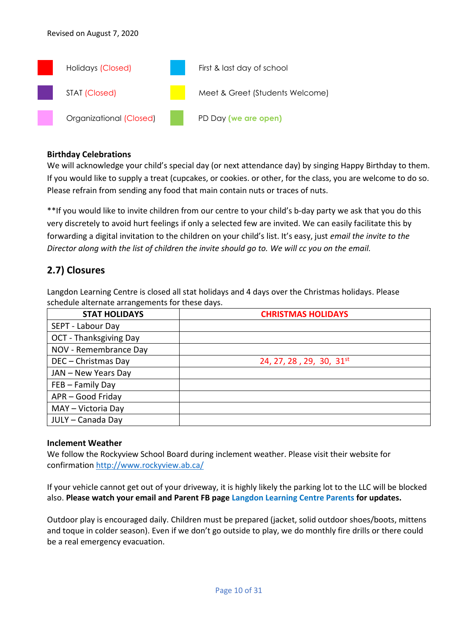

#### **Birthday Celebrations**

We will acknowledge your child's special day (or next attendance day) by singing Happy Birthday to them. If you would like to supply a treat (cupcakes, or cookies. or other, for the class, you are welcome to do so. Please refrain from sending any food that main contain nuts or traces of nuts.

\*\*If you would like to invite children from our centre to your child's b-day party we ask that you do this very discretely to avoid hurt feelings if only a selected few are invited. We can easily facilitate this by forwarding a digital invitation to the children on your child's list. It's easy, just *email the invite to the Director along with the list of children the invite should go to. We will cc you on the email.*

### **2.7) Closures**

Langdon Learning Centre is closed all stat holidays and 4 days over the Christmas holidays. Please schedule alternate arrangements for these days.

| <b>STAT HOLIDAYS</b>   | <b>CHRISTMAS HOLIDAYS</b>            |
|------------------------|--------------------------------------|
| SEPT - Labour Day      |                                      |
| OCT - Thanksgiving Day |                                      |
| NOV - Remembrance Day  |                                      |
| DEC - Christmas Day    | 24, 27, 28, 29, 30, 31 <sup>st</sup> |
| JAN - New Years Day    |                                      |
| FEB - Family Day       |                                      |
| APR - Good Friday      |                                      |
| MAY - Victoria Day     |                                      |
| JULY - Canada Day      |                                      |

#### **Inclement Weather**

We follow the Rockyview School Board during inclement weather. Please visit their website for confirmatio[n http://www.rockyview.ab.ca/](http://www.rockyview.ab.ca/)

If your vehicle cannot get out of your driveway, it is highly likely the parking lot to the LLC will be blocked also. **Please watch your email and Parent FB page Langdon Learning Centre Parents for updates.**

Outdoor play is encouraged daily. Children must be prepared (jacket, solid outdoor shoes/boots, mittens and toque in colder season). Even if we don't go outside to play, we do monthly fire drills or there could be a real emergency evacuation.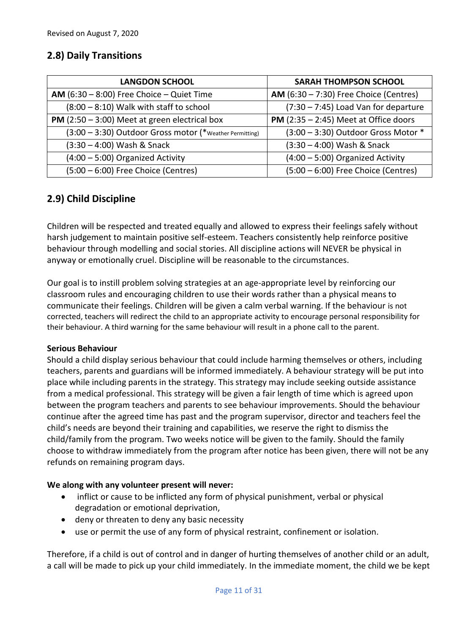## **2.8) Daily Transitions**

| <b>LANGDON SCHOOL</b>                                    | <b>SARAH THOMPSON SCHOOL</b>                   |
|----------------------------------------------------------|------------------------------------------------|
| AM $(6:30 - 8:00)$ Free Choice - Quiet Time              | AM $(6:30 - 7:30)$ Free Choice (Centres)       |
| $(8:00 - 8:10)$ Walk with staff to school                | (7:30 - 7:45) Load Van for departure           |
| <b>PM</b> (2:50 $-$ 3:00) Meet at green electrical box   | <b>PM</b> $(2:35 - 2:45)$ Meet at Office doors |
| (3:00 - 3:30) Outdoor Gross motor (* Weather Permitting) | $(3:00 - 3:30)$ Outdoor Gross Motor $*$        |
| $(3:30 - 4:00)$ Wash & Snack                             | (3:30 - 4:00) Wash & Snack                     |
| $(4:00 - 5:00)$ Organized Activity                       | $(4:00 - 5:00)$ Organized Activity             |
| $(5:00 - 6:00)$ Free Choice (Centres)                    | (5:00 - 6:00) Free Choice (Centres)            |

## **2.9) Child Discipline**

Children will be respected and treated equally and allowed to express their feelings safely without harsh judgement to maintain positive self-esteem. Teachers consistently help reinforce positive behaviour through modelling and social stories. All discipline actions will NEVER be physical in anyway or emotionally cruel. Discipline will be reasonable to the circumstances.

Our goal is to instill problem solving strategies at an age-appropriate level by reinforcing our classroom rules and encouraging children to use their words rather than a physical means to communicate their feelings. Children will be given a calm verbal warning. If the behaviour is not corrected, teachers will redirect the child to an appropriate activity to encourage personal responsibility for their behaviour. A third warning for the same behaviour will result in a phone call to the parent.

#### **Serious Behaviour**

Should a child display serious behaviour that could include harming themselves or others, including teachers, parents and guardians will be informed immediately. A behaviour strategy will be put into place while including parents in the strategy. This strategy may include seeking outside assistance from a medical professional. This strategy will be given a fair length of time which is agreed upon between the program teachers and parents to see behaviour improvements. Should the behaviour continue after the agreed time has past and the program supervisor, director and teachers feel the child's needs are beyond their training and capabilities, we reserve the right to dismiss the child/family from the program. Two weeks notice will be given to the family. Should the family choose to withdraw immediately from the program after notice has been given, there will not be any refunds on remaining program days.

#### **We along with any volunteer present will never:**

- inflict or cause to be inflicted any form of physical punishment, verbal or physical degradation or emotional deprivation,
- deny or threaten to deny any basic necessity
- use or permit the use of any form of physical restraint, confinement or isolation.

Therefore, if a child is out of control and in danger of hurting themselves of another child or an adult, a call will be made to pick up your child immediately. In the immediate moment, the child we be kept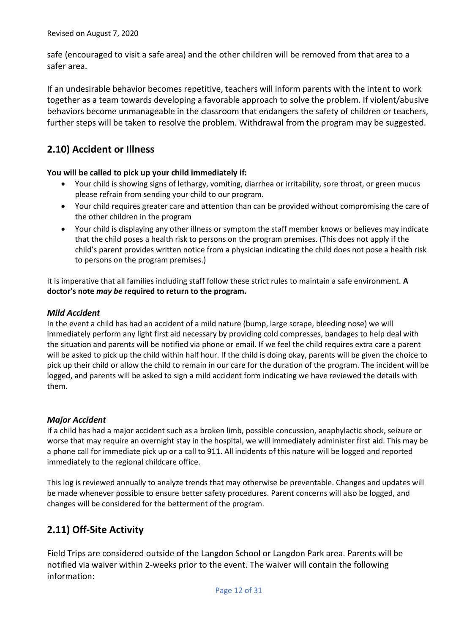safe (encouraged to visit a safe area) and the other children will be removed from that area to a safer area.

If an undesirable behavior becomes repetitive, teachers will inform parents with the intent to work together as a team towards developing a favorable approach to solve the problem. If violent/abusive behaviors become unmanageable in the classroom that endangers the safety of children or teachers, further steps will be taken to resolve the problem. Withdrawal from the program may be suggested.

## **2.10) Accident or Illness**

#### **You will be called to pick up your child immediately if:**

- Your child is showing signs of lethargy, vomiting, diarrhea or irritability, sore throat, or green mucus please refrain from sending your child to our program.
- Your child requires greater care and attention than can be provided without compromising the care of the other children in the program
- Your child is displaying any other illness or symptom the staff member knows or believes may indicate that the child poses a health risk to persons on the program premises. (This does not apply if the child's parent provides written notice from a physician indicating the child does not pose a health risk to persons on the program premises.)

It is imperative that all families including staff follow these strict rules to maintain a safe environment. **A doctor's note** *may be* **required to return to the program.**

#### *Mild Accident*

In the event a child has had an accident of a mild nature (bump, large scrape, bleeding nose) we will immediately perform any light first aid necessary by providing cold compresses, bandages to help deal with the situation and parents will be notified via phone or email. If we feel the child requires extra care a parent will be asked to pick up the child within half hour. If the child is doing okay, parents will be given the choice to pick up their child or allow the child to remain in our care for the duration of the program. The incident will be logged, and parents will be asked to sign a mild accident form indicating we have reviewed the details with them.

#### *Major Accident*

If a child has had a major accident such as a broken limb, possible concussion, anaphylactic shock, seizure or worse that may require an overnight stay in the hospital, we will immediately administer first aid. This may be a phone call for immediate pick up or a call to 911. All incidents of this nature will be logged and reported immediately to the regional childcare office.

This log is reviewed annually to analyze trends that may otherwise be preventable. Changes and updates will be made whenever possible to ensure better safety procedures. Parent concerns will also be logged, and changes will be considered for the betterment of the program.

## **2.11) Off-Site Activity**

Field Trips are considered outside of the Langdon School or Langdon Park area. Parents will be notified via waiver within 2-weeks prior to the event. The waiver will contain the following information: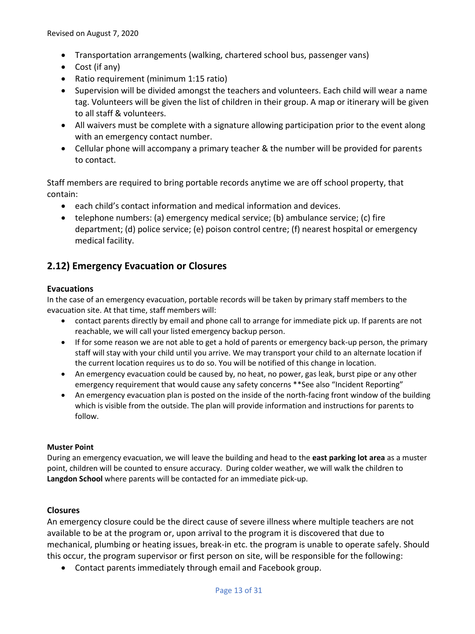- Transportation arrangements (walking, chartered school bus, passenger vans)
- Cost (if any)
- Ratio requirement (minimum 1:15 ratio)
- Supervision will be divided amongst the teachers and volunteers. Each child will wear a name tag. Volunteers will be given the list of children in their group. A map or itinerary will be given to all staff & volunteers.
- All waivers must be complete with a signature allowing participation prior to the event along with an emergency contact number.
- Cellular phone will accompany a primary teacher & the number will be provided for parents to contact.

Staff members are required to bring portable records anytime we are off school property, that contain:

- each child's contact information and medical information and devices.
- telephone numbers: (a) emergency medical service; (b) ambulance service; (c) fire department; (d) police service; (e) poison control centre; (f) nearest hospital or emergency medical facility.

## **2.12) Emergency Evacuation or Closures**

#### **Evacuations**

In the case of an emergency evacuation, portable records will be taken by primary staff members to the evacuation site. At that time, staff members will:

- contact parents directly by email and phone call to arrange for immediate pick up. If parents are not reachable, we will call your listed emergency backup person.
- If for some reason we are not able to get a hold of parents or emergency back-up person, the primary staff will stay with your child until you arrive. We may transport your child to an alternate location if the current location requires us to do so. You will be notified of this change in location.
- An emergency evacuation could be caused by, no heat, no power, gas leak, burst pipe or any other emergency requirement that would cause any safety concerns \*\*See also "Incident Reporting"
- An emergency evacuation plan is posted on the inside of the north-facing front window of the building which is visible from the outside. The plan will provide information and instructions for parents to follow.

#### **Muster Point**

During an emergency evacuation, we will leave the building and head to the **east parking lot area** as a muster point, children will be counted to ensure accuracy. During colder weather, we will walk the children to **Langdon School** where parents will be contacted for an immediate pick-up.

#### **Closures**

An emergency closure could be the direct cause of severe illness where multiple teachers are not available to be at the program or, upon arrival to the program it is discovered that due to mechanical, plumbing or heating issues, break-in etc. the program is unable to operate safely. Should this occur, the program supervisor or first person on site, will be responsible for the following:

• Contact parents immediately through email and Facebook group.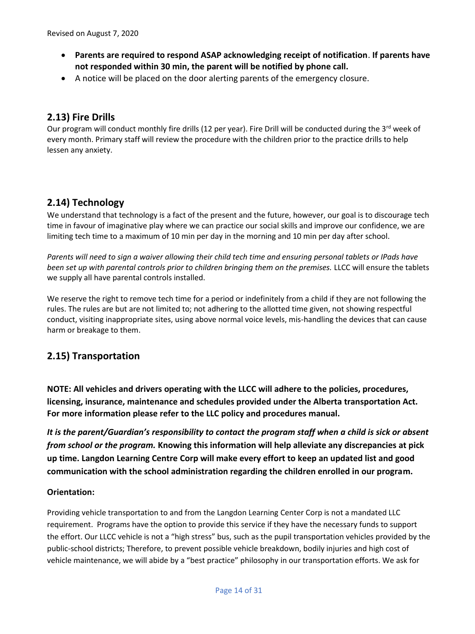- **Parents are required to respond ASAP acknowledging receipt of notification**. **If parents have not responded within 30 min, the parent will be notified by phone call.**
- A notice will be placed on the door alerting parents of the emergency closure.

## **2.13) Fire Drills**

Our program will conduct monthly fire drills (12 per year). Fire Drill will be conducted during the 3<sup>rd</sup> week of every month. Primary staff will review the procedure with the children prior to the practice drills to help lessen any anxiety.

## **2.14) Technology**

We understand that technology is a fact of the present and the future, however, our goal is to discourage tech time in favour of imaginative play where we can practice our social skills and improve our confidence, we are limiting tech time to a maximum of 10 min per day in the morning and 10 min per day after school.

*Parents will need to sign a waiver allowing their child tech time and ensuring personal tablets or IPads have been set up with parental controls prior to children bringing them on the premises.* LLCC will ensure the tablets we supply all have parental controls installed.

We reserve the right to remove tech time for a period or indefinitely from a child if they are not following the rules. The rules are but are not limited to; not adhering to the allotted time given, not showing respectful conduct, visiting inappropriate sites, using above normal voice levels, mis-handling the devices that can cause harm or breakage to them.

## **2.15) Transportation**

**NOTE: All vehicles and drivers operating with the LLCC will adhere to the policies, procedures, licensing, insurance, maintenance and schedules provided under the Alberta transportation Act. For more information please refer to the LLC policy and procedures manual.**

*It is the parent/Guardian's responsibility to contact the program staff when a child is sick or absent from school or the program.* **Knowing this information will help alleviate any discrepancies at pick up time. Langdon Learning Centre Corp will make every effort to keep an updated list and good communication with the school administration regarding the children enrolled in our program.**

#### **Orientation:**

Providing vehicle transportation to and from the Langdon Learning Center Corp is not a mandated LLC requirement. Programs have the option to provide this service if they have the necessary funds to support the effort. Our LLCC vehicle is not a "high stress" bus, such as the pupil transportation vehicles provided by the public-school districts; Therefore, to prevent possible vehicle breakdown, bodily injuries and high cost of vehicle maintenance, we will abide by a "best practice" philosophy in our transportation efforts. We ask for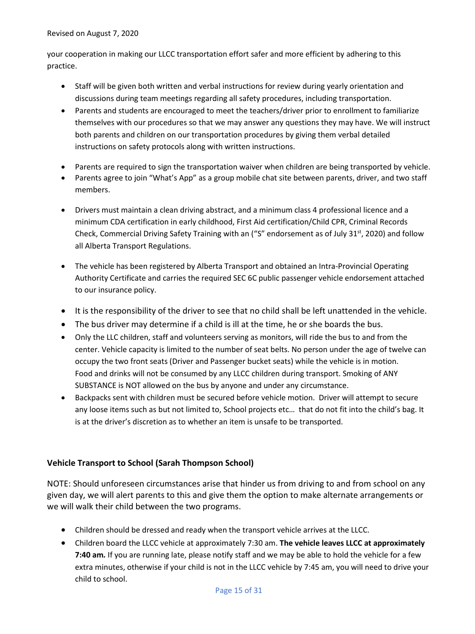#### Revised on August 7, 2020

your cooperation in making our LLCC transportation effort safer and more efficient by adhering to this practice.

- Staff will be given both written and verbal instructions for review during yearly orientation and discussions during team meetings regarding all safety procedures, including transportation.
- Parents and students are encouraged to meet the teachers/driver prior to enrollment to familiarize themselves with our procedures so that we may answer any questions they may have. We will instruct both parents and children on our transportation procedures by giving them verbal detailed instructions on safety protocols along with written instructions.
- Parents are required to sign the transportation waiver when children are being transported by vehicle.
- Parents agree to join "What's App" as a group mobile chat site between parents, driver, and two staff members.
- Drivers must maintain a clean driving abstract, and a minimum class 4 professional licence and a minimum CDA certification in early childhood, First Aid certification/Child CPR, Criminal Records Check, Commercial Driving Safety Training with an ("S" endorsement as of July 31st, 2020) and follow all Alberta Transport Regulations.
- The vehicle has been registered by Alberta Transport and obtained an Intra-Provincial Operating Authority Certificate and carries the required SEC 6C public passenger vehicle endorsement attached to our insurance policy.
- It is the responsibility of the driver to see that no child shall be left unattended in the vehicle.
- The bus driver may determine if a child is ill at the time, he or she boards the bus.
- Only the LLC children, staff and volunteers serving as monitors, will ride the bus to and from the center. Vehicle capacity is limited to the number of seat belts. No person under the age of twelve can occupy the two front seats (Driver and Passenger bucket seats) while the vehicle is in motion. Food and drinks will not be consumed by any LLCC children during transport. Smoking of ANY SUBSTANCE is NOT allowed on the bus by anyone and under any circumstance.
- Backpacks sent with children must be secured before vehicle motion. Driver will attempt to secure any loose items such as but not limited to, School projects etc… that do not fit into the child's bag. It is at the driver's discretion as to whether an item is unsafe to be transported.

#### **Vehicle Transport to School (Sarah Thompson School)**

NOTE: Should unforeseen circumstances arise that hinder us from driving to and from school on any given day, we will alert parents to this and give them the option to make alternate arrangements or we will walk their child between the two programs.

- Children should be dressed and ready when the transport vehicle arrives at the LLCC.
- Children board the LLCC vehicle at approximately 7:30 am. **The vehicle leaves LLCC at approximately 7:40 am***.* If you are running late, please notify staff and we may be able to hold the vehicle for a few extra minutes, otherwise if your child is not in the LLCC vehicle by 7:45 am, you will need to drive your child to school.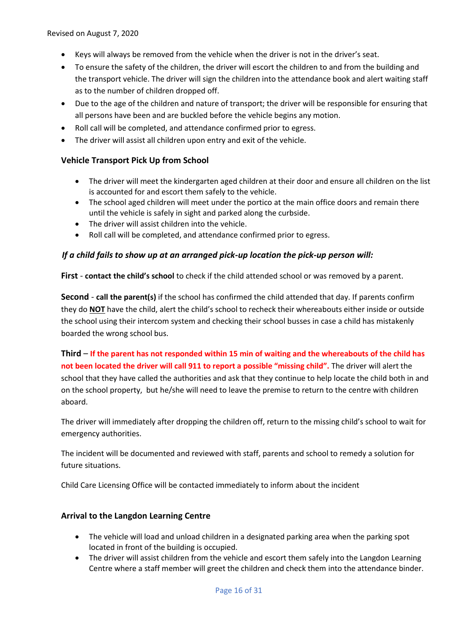Revised on August 7, 2020

- Keys will always be removed from the vehicle when the driver is not in the driver's seat.
- To ensure the safety of the children, the driver will escort the children to and from the building and the transport vehicle. The driver will sign the children into the attendance book and alert waiting staff as to the number of children dropped off.
- Due to the age of the children and nature of transport; the driver will be responsible for ensuring that all persons have been and are buckled before the vehicle begins any motion.
- Roll call will be completed, and attendance confirmed prior to egress.
- The driver will assist all children upon entry and exit of the vehicle.

#### **Vehicle Transport Pick Up from School**

- The driver will meet the kindergarten aged children at their door and ensure all children on the list is accounted for and escort them safely to the vehicle.
- The school aged children will meet under the portico at the main office doors and remain there until the vehicle is safely in sight and parked along the curbside.
- The driver will assist children into the vehicle.
- Roll call will be completed, and attendance confirmed prior to egress.

#### *If a child fails to show up at an arranged pick-up location the pick-up person will:*

**First** - **contact the child's school** to check if the child attended school or was removed by a parent.

**Second** - **call the parent(s)** if the school has confirmed the child attended that day. If parents confirm they do **NOT** have the child, alert the child's school to recheck their whereabouts either inside or outside the school using their intercom system and checking their school busses in case a child has mistakenly boarded the wrong school bus.

**Third** – **If the parent has not responded within 15 min of waiting and the whereabouts of the child has not been located the driver will call 911 to report a possible "missing child".** The driver will alert the school that they have called the authorities and ask that they continue to help locate the child both in and on the school property, but he/she will need to leave the premise to return to the centre with children aboard.

The driver will immediately after dropping the children off, return to the missing child's school to wait for emergency authorities.

The incident will be documented and reviewed with staff, parents and school to remedy a solution for future situations.

Child Care Licensing Office will be contacted immediately to inform about the incident

#### **Arrival to the Langdon Learning Centre**

- The vehicle will load and unload children in a designated parking area when the parking spot located in front of the building is occupied.
- The driver will assist children from the vehicle and escort them safely into the Langdon Learning Centre where a staff member will greet the children and check them into the attendance binder.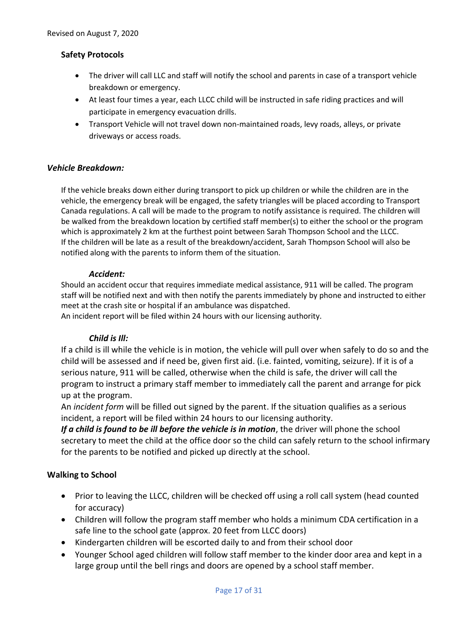#### **Safety Protocols**

- The driver will call LLC and staff will notify the school and parents in case of a transport vehicle breakdown or emergency.
- At least four times a year, each LLCC child will be instructed in safe riding practices and will participate in emergency evacuation drills.
- Transport Vehicle will not travel down non-maintained roads, levy roads, alleys, or private driveways or access roads.

#### *Vehicle Breakdown:*

If the vehicle breaks down either during transport to pick up children or while the children are in the vehicle, the emergency break will be engaged, the safety triangles will be placed according to Transport Canada regulations. A call will be made to the program to notify assistance is required. The children will be walked from the breakdown location by certified staff member(s) to either the school or the program which is approximately 2 km at the furthest point between Sarah Thompson School and the LLCC. If the children will be late as a result of the breakdown/accident, Sarah Thompson School will also be notified along with the parents to inform them of the situation.

#### *Accident:*

Should an accident occur that requires immediate medical assistance, 911 will be called. The program staff will be notified next and with then notify the parents immediately by phone and instructed to either meet at the crash site or hospital if an ambulance was dispatched.

An incident report will be filed within 24 hours with our licensing authority.

#### *Child is Ill:*

If a child is ill while the vehicle is in motion, the vehicle will pull over when safely to do so and the child will be assessed and if need be, given first aid. (i.e. fainted, vomiting, seizure). If it is of a serious nature, 911 will be called, otherwise when the child is safe, the driver will call the program to instruct a primary staff member to immediately call the parent and arrange for pick up at the program.

An *incident form* will be filled out signed by the parent. If the situation qualifies as a serious incident, a report will be filed within 24 hours to our licensing authority.

*If a child is found to be ill before the vehicle is in motion*, the driver will phone the school secretary to meet the child at the office door so the child can safely return to the school infirmary for the parents to be notified and picked up directly at the school.

#### **Walking to School**

- Prior to leaving the LLCC, children will be checked off using a roll call system (head counted for accuracy)
- Children will follow the program staff member who holds a minimum CDA certification in a safe line to the school gate (approx. 20 feet from LLCC doors)
- Kindergarten children will be escorted daily to and from their school door
- Younger School aged children will follow staff member to the kinder door area and kept in a large group until the bell rings and doors are opened by a school staff member.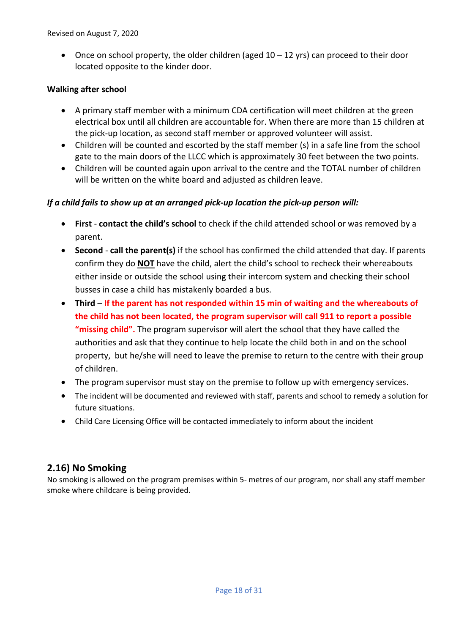• Once on school property, the older children (aged  $10 - 12$  yrs) can proceed to their door located opposite to the kinder door.

#### **Walking after school**

- A primary staff member with a minimum CDA certification will meet children at the green electrical box until all children are accountable for. When there are more than 15 children at the pick-up location, as second staff member or approved volunteer will assist.
- Children will be counted and escorted by the staff member (s) in a safe line from the school gate to the main doors of the LLCC which is approximately 30 feet between the two points.
- Children will be counted again upon arrival to the centre and the TOTAL number of children will be written on the white board and adjusted as children leave.

#### *If a child fails to show up at an arranged pick-up location the pick-up person will:*

- **First contact the child's school** to check if the child attended school or was removed by a parent.
- **Second call the parent(s)** if the school has confirmed the child attended that day. If parents confirm they do **NOT** have the child, alert the child's school to recheck their whereabouts either inside or outside the school using their intercom system and checking their school busses in case a child has mistakenly boarded a bus.
- **Third If the parent has not responded within 15 min of waiting and the whereabouts of the child has not been located, the program supervisor will call 911 to report a possible "missing child".** The program supervisor will alert the school that they have called the authorities and ask that they continue to help locate the child both in and on the school property, but he/she will need to leave the premise to return to the centre with their group of children.
- The program supervisor must stay on the premise to follow up with emergency services.
- The incident will be documented and reviewed with staff, parents and school to remedy a solution for future situations.
- Child Care Licensing Office will be contacted immediately to inform about the incident

## **2.16) No Smoking**

No smoking is allowed on the program premises within 5- metres of our program, nor shall any staff member smoke where childcare is being provided.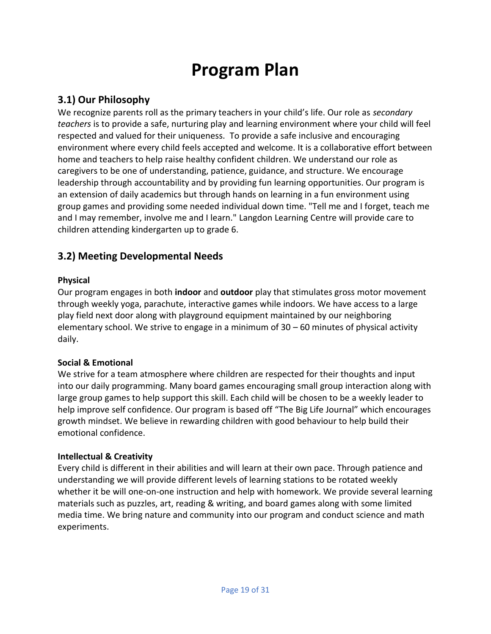## **Program Plan**

## **3.1) Our Philosophy**

We recognize parents roll as the primary teachers in your child's life. Our role as *secondary teachers* is to provide a safe, nurturing play and learning environment where your child will feel respected and valued for their uniqueness. To provide a safe inclusive and encouraging environment where every child feels accepted and welcome. It is a collaborative effort between home and teachers to help raise healthy confident children. We understand our role as caregivers to be one of understanding, patience, guidance, and structure. We encourage leadership through accountability and by providing fun learning opportunities. Our program is an extension of daily academics but through hands on learning in a fun environment using group games and providing some needed individual down time. "Tell me and I forget, teach me and I may remember, involve me and I learn." Langdon Learning Centre will provide care to children attending kindergarten up to grade 6.

## **3.2) Meeting Developmental Needs**

#### **Physical**

Our program engages in both **indoor** and **outdoor** play that stimulates gross motor movement through weekly yoga, parachute, interactive games while indoors. We have access to a large play field next door along with playground equipment maintained by our neighboring elementary school. We strive to engage in a minimum of 30 – 60 minutes of physical activity daily.

#### **Social & Emotional**

We strive for a team atmosphere where children are respected for their thoughts and input into our daily programming. Many board games encouraging small group interaction along with large group games to help support this skill. Each child will be chosen to be a weekly leader to help improve self confidence. Our program is based off "The Big Life Journal" which encourages growth mindset. We believe in rewarding children with good behaviour to help build their emotional confidence.

#### **Intellectual & Creativity**

Every child is different in their abilities and will learn at their own pace. Through patience and understanding we will provide different levels of learning stations to be rotated weekly whether it be will one-on-one instruction and help with homework. We provide several learning materials such as puzzles, art, reading & writing, and board games along with some limited media time. We bring nature and community into our program and conduct science and math experiments.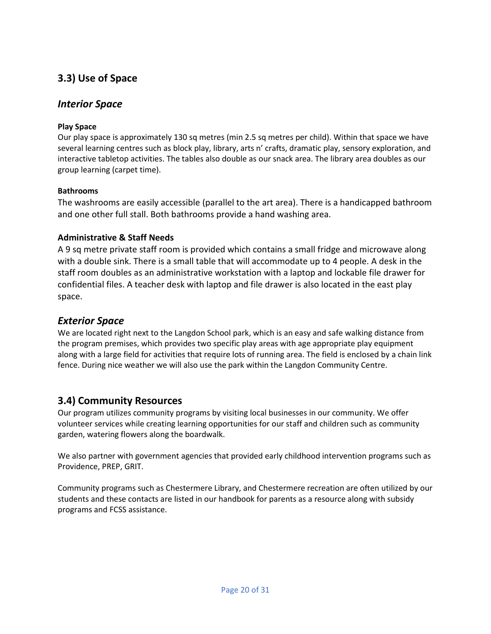## **3.3) Use of Space**

### *Interior Space*

#### **Play Space**

Our play space is approximately 130 sq metres (min 2.5 sq metres per child). Within that space we have several learning centres such as block play, library, arts n' crafts, dramatic play, sensory exploration, and interactive tabletop activities. The tables also double as our snack area. The library area doubles as our group learning (carpet time).

#### **Bathrooms**

The washrooms are easily accessible (parallel to the art area). There is a handicapped bathroom and one other full stall. Both bathrooms provide a hand washing area.

#### **Administrative & Staff Needs**

A 9 sq metre private staff room is provided which contains a small fridge and microwave along with a double sink. There is a small table that will accommodate up to 4 people. A desk in the staff room doubles as an administrative workstation with a laptop and lockable file drawer for confidential files. A teacher desk with laptop and file drawer is also located in the east play space.

### *Exterior Space*

We are located right next to the Langdon School park, which is an easy and safe walking distance from the program premises, which provides two specific play areas with age appropriate play equipment along with a large field for activities that require lots of running area. The field is enclosed by a chain link fence. During nice weather we will also use the park within the Langdon Community Centre.

## **3.4) Community Resources**

Our program utilizes community programs by visiting local businesses in our community. We offer volunteer services while creating learning opportunities for our staff and children such as community garden, watering flowers along the boardwalk.

We also partner with government agencies that provided early childhood intervention programs such as Providence, PREP, GRIT.

Community programs such as Chestermere Library, and Chestermere recreation are often utilized by our students and these contacts are listed in our handbook for parents as a resource along with subsidy programs and FCSS assistance.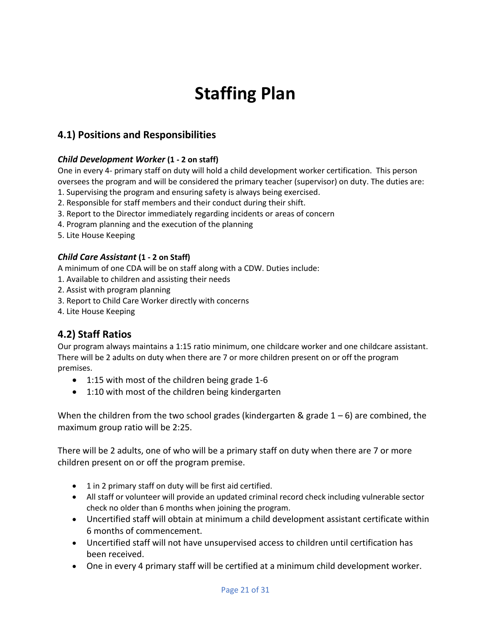## **Staffing Plan**

## **4.1) Positions and Responsibilities**

#### *Child Development Worker* **(1 - 2 on staff)**

One in every 4- primary staff on duty will hold a child development worker certification. This person oversees the program and will be considered the primary teacher (supervisor) on duty. The duties are:

- 1. Supervising the program and ensuring safety is always being exercised.
- 2. Responsible for staff members and their conduct during their shift.
- 3. Report to the Director immediately regarding incidents or areas of concern
- 4. Program planning and the execution of the planning
- 5. Lite House Keeping

#### *Child Care Assistant* **(1 - 2 on Staff)**

A minimum of one CDA will be on staff along with a CDW. Duties include:

- 1. Available to children and assisting their needs
- 2. Assist with program planning
- 3. Report to Child Care Worker directly with concerns
- 4. Lite House Keeping

## **4.2) Staff Ratios**

Our program always maintains a 1:15 ratio minimum, one childcare worker and one childcare assistant. There will be 2 adults on duty when there are 7 or more children present on or off the program premises.

- 1:15 with most of the children being grade 1-6
- 1:10 with most of the children being kindergarten

When the children from the two school grades (kindergarten & grade  $1 - 6$ ) are combined, the maximum group ratio will be 2:25.

There will be 2 adults, one of who will be a primary staff on duty when there are 7 or more children present on or off the program premise.

- 1 in 2 primary staff on duty will be first aid certified.
- All staff or volunteer will provide an updated criminal record check including vulnerable sector check no older than 6 months when joining the program.
- Uncertified staff will obtain at minimum a child development assistant certificate within 6 months of commencement.
- Uncertified staff will not have unsupervised access to children until certification has been received.
- One in every 4 primary staff will be certified at a minimum child development worker.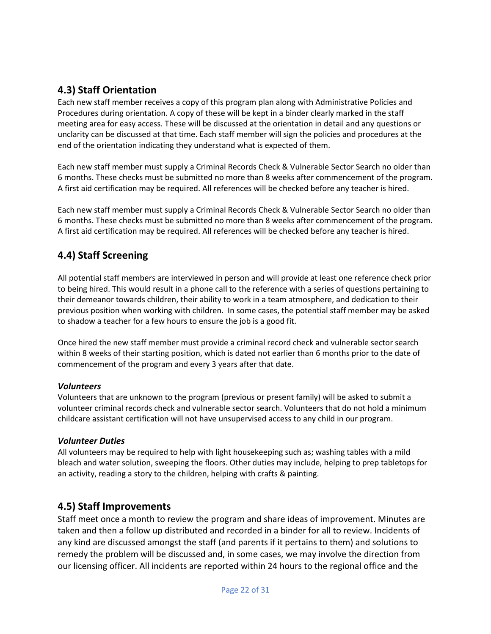## **4.3) Staff Orientation**

Each new staff member receives a copy of this program plan along with Administrative Policies and Procedures during orientation. A copy of these will be kept in a binder clearly marked in the staff meeting area for easy access. These will be discussed at the orientation in detail and any questions or unclarity can be discussed at that time. Each staff member will sign the policies and procedures at the end of the orientation indicating they understand what is expected of them.

Each new staff member must supply a Criminal Records Check & Vulnerable Sector Search no older than 6 months. These checks must be submitted no more than 8 weeks after commencement of the program. A first aid certification may be required. All references will be checked before any teacher is hired.

Each new staff member must supply a Criminal Records Check & Vulnerable Sector Search no older than 6 months. These checks must be submitted no more than 8 weeks after commencement of the program. A first aid certification may be required. All references will be checked before any teacher is hired.

## **4.4) Staff Screening**

All potential staff members are interviewed in person and will provide at least one reference check prior to being hired. This would result in a phone call to the reference with a series of questions pertaining to their demeanor towards children, their ability to work in a team atmosphere, and dedication to their previous position when working with children. In some cases, the potential staff member may be asked to shadow a teacher for a few hours to ensure the job is a good fit.

Once hired the new staff member must provide a criminal record check and vulnerable sector search within 8 weeks of their starting position, which is dated not earlier than 6 months prior to the date of commencement of the program and every 3 years after that date.

#### *Volunteers*

Volunteers that are unknown to the program (previous or present family) will be asked to submit a volunteer criminal records check and vulnerable sector search. Volunteers that do not hold a minimum childcare assistant certification will not have unsupervised access to any child in our program.

#### *Volunteer Duties*

All volunteers may be required to help with light housekeeping such as; washing tables with a mild bleach and water solution, sweeping the floors. Other duties may include, helping to prep tabletops for an activity, reading a story to the children, helping with crafts & painting.

## **4.5) Staff Improvements**

Staff meet once a month to review the program and share ideas of improvement. Minutes are taken and then a follow up distributed and recorded in a binder for all to review. Incidents of any kind are discussed amongst the staff (and parents if it pertains to them) and solutions to remedy the problem will be discussed and, in some cases, we may involve the direction from our licensing officer. All incidents are reported within 24 hours to the regional office and the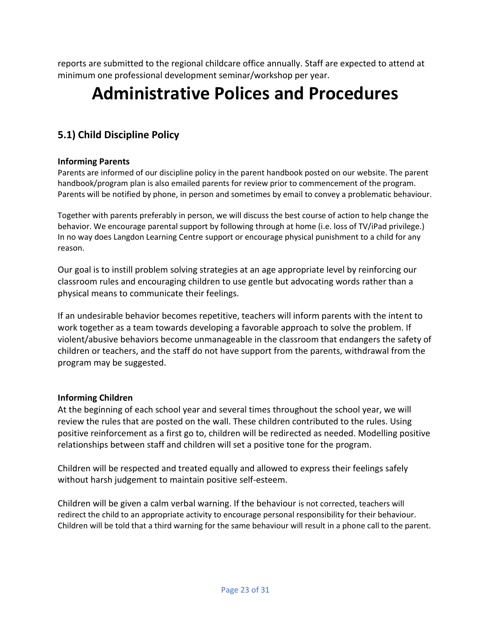reports are submitted to the regional childcare office annually. Staff are expected to attend at minimum one professional development seminar/workshop per year.

## **Administrative Polices and Procedures**

## **5.1) Child Discipline Policy**

#### **Informing Parents**

Parents are informed of our discipline policy in the parent handbook posted on our website. The parent handbook/program plan is also emailed parents for review prior to commencement of the program. Parents will be notified by phone, in person and sometimes by email to convey a problematic behaviour.

Together with parents preferably in person, we will discuss the best course of action to help change the behavior. We encourage parental support by following through at home (i.e. loss of TV/iPad privilege.) In no way does Langdon Learning Centre support or encourage physical punishment to a child for any reason.

Our goal is to instill problem solving strategies at an age appropriate level by reinforcing our classroom rules and encouraging children to use gentle but advocating words rather than a physical means to communicate their feelings.

If an undesirable behavior becomes repetitive, teachers will inform parents with the intent to work together as a team towards developing a favorable approach to solve the problem. If violent/abusive behaviors become unmanageable in the classroom that endangers the safety of children or teachers, and the staff do not have support from the parents, withdrawal from the program may be suggested.

#### **Informing Children**

At the beginning of each school year and several times throughout the school year, we will review the rules that are posted on the wall. These children contributed to the rules. Using positive reinforcement as a first go to, children will be redirected as needed. Modelling positive relationships between staff and children will set a positive tone for the program.

Children will be respected and treated equally and allowed to express their feelings safely without harsh judgement to maintain positive self-esteem.

Children will be given a calm verbal warning. If the behaviour is not corrected, teachers will redirect the child to an appropriate activity to encourage personal responsibility for their behaviour. Children will be told that a third warning for the same behaviour will result in a phone call to the parent.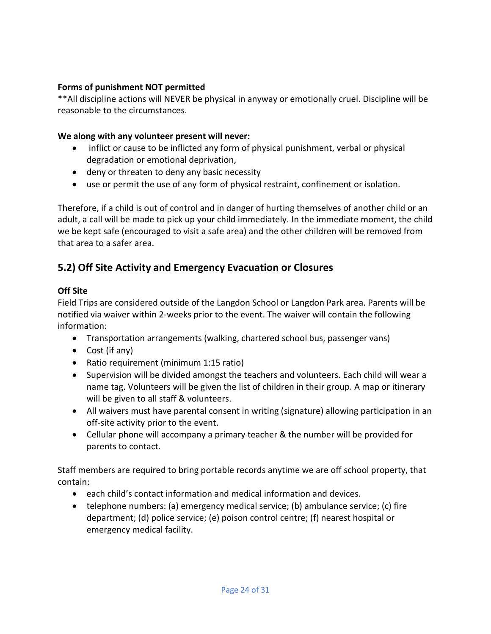#### **Forms of punishment NOT permitted**

\*\*All discipline actions will NEVER be physical in anyway or emotionally cruel. Discipline will be reasonable to the circumstances.

#### **We along with any volunteer present will never:**

- inflict or cause to be inflicted any form of physical punishment, verbal or physical degradation or emotional deprivation,
- deny or threaten to deny any basic necessity
- use or permit the use of any form of physical restraint, confinement or isolation.

Therefore, if a child is out of control and in danger of hurting themselves of another child or an adult, a call will be made to pick up your child immediately. In the immediate moment, the child we be kept safe (encouraged to visit a safe area) and the other children will be removed from that area to a safer area.

## **5.2) Off Site Activity and Emergency Evacuation or Closures**

#### **Off Site**

Field Trips are considered outside of the Langdon School or Langdon Park area. Parents will be notified via waiver within 2-weeks prior to the event. The waiver will contain the following information:

- Transportation arrangements (walking, chartered school bus, passenger vans)
- Cost (if any)
- Ratio requirement (minimum 1:15 ratio)
- Supervision will be divided amongst the teachers and volunteers. Each child will wear a name tag. Volunteers will be given the list of children in their group. A map or itinerary will be given to all staff & volunteers.
- All waivers must have parental consent in writing (signature) allowing participation in an off-site activity prior to the event.
- Cellular phone will accompany a primary teacher & the number will be provided for parents to contact.

Staff members are required to bring portable records anytime we are off school property, that contain:

- each child's contact information and medical information and devices.
- telephone numbers: (a) emergency medical service; (b) ambulance service; (c) fire department; (d) police service; (e) poison control centre; (f) nearest hospital or emergency medical facility.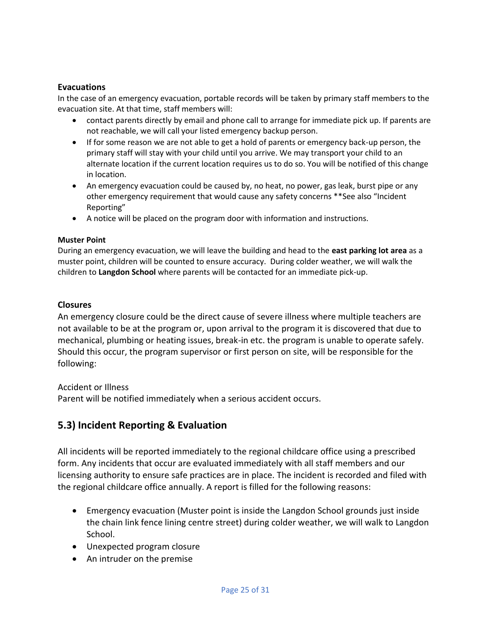#### **Evacuations**

In the case of an emergency evacuation, portable records will be taken by primary staff members to the evacuation site. At that time, staff members will:

- contact parents directly by email and phone call to arrange for immediate pick up. If parents are not reachable, we will call your listed emergency backup person.
- If for some reason we are not able to get a hold of parents or emergency back-up person, the primary staff will stay with your child until you arrive. We may transport your child to an alternate location if the current location requires us to do so. You will be notified of this change in location.
- An emergency evacuation could be caused by, no heat, no power, gas leak, burst pipe or any other emergency requirement that would cause any safety concerns \*\*See also "Incident Reporting"
- A notice will be placed on the program door with information and instructions.

#### **Muster Point**

During an emergency evacuation, we will leave the building and head to the **east parking lot area** as a muster point, children will be counted to ensure accuracy. During colder weather, we will walk the children to **Langdon School** where parents will be contacted for an immediate pick-up.

#### **Closures**

An emergency closure could be the direct cause of severe illness where multiple teachers are not available to be at the program or, upon arrival to the program it is discovered that due to mechanical, plumbing or heating issues, break-in etc. the program is unable to operate safely. Should this occur, the program supervisor or first person on site, will be responsible for the following:

Accident or Illness

Parent will be notified immediately when a serious accident occurs.

### **5.3) Incident Reporting & Evaluation**

All incidents will be reported immediately to the regional childcare office using a prescribed form. Any incidents that occur are evaluated immediately with all staff members and our licensing authority to ensure safe practices are in place. The incident is recorded and filed with the regional childcare office annually. A report is filled for the following reasons:

- Emergency evacuation (Muster point is inside the Langdon School grounds just inside the chain link fence lining centre street) during colder weather, we will walk to Langdon School.
- Unexpected program closure
- An intruder on the premise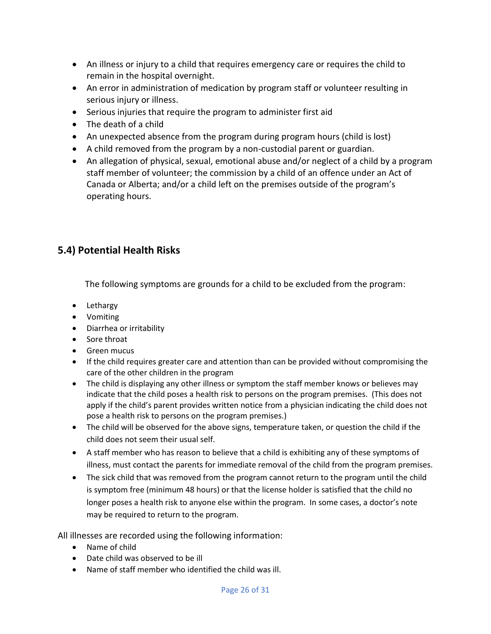- An illness or injury to a child that requires emergency care or requires the child to remain in the hospital overnight.
- An error in administration of medication by program staff or volunteer resulting in serious injury or illness.
- Serious injuries that require the program to administer first aid
- The death of a child
- An unexpected absence from the program during program hours (child is lost)
- A child removed from the program by a non-custodial parent or guardian.
- An allegation of physical, sexual, emotional abuse and/or neglect of a child by a program staff member of volunteer; the commission by a child of an offence under an Act of Canada or Alberta; and/or a child left on the premises outside of the program's operating hours.

## **5.4) Potential Health Risks**

The following symptoms are grounds for a child to be excluded from the program:

- Lethargy
- Vomiting
- Diarrhea or irritability
- Sore throat
- Green mucus
- If the child requires greater care and attention than can be provided without compromising the care of the other children in the program
- The child is displaying any other illness or symptom the staff member knows or believes may indicate that the child poses a health risk to persons on the program premises. (This does not apply if the child's parent provides written notice from a physician indicating the child does not pose a health risk to persons on the program premises.)
- The child will be observed for the above signs, temperature taken, or question the child if the child does not seem their usual self.
- A staff member who has reason to believe that a child is exhibiting any of these symptoms of illness, must contact the parents for immediate removal of the child from the program premises.
- The sick child that was removed from the program cannot return to the program until the child is symptom free (minimum 48 hours) or that the license holder is satisfied that the child no longer poses a health risk to anyone else within the program. In some cases, a doctor's note may be required to return to the program.

All illnesses are recorded using the following information:

- Name of child
- Date child was observed to be ill
- Name of staff member who identified the child was ill.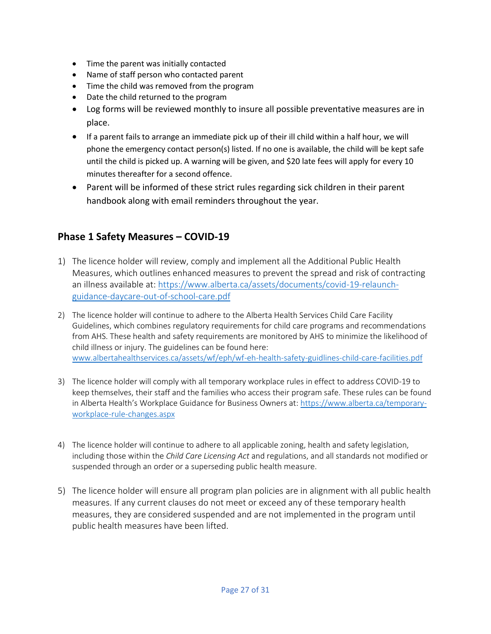- Time the parent was initially contacted
- Name of staff person who contacted parent
- Time the child was removed from the program
- Date the child returned to the program
- Log forms will be reviewed monthly to insure all possible preventative measures are in place.
- If a parent fails to arrange an immediate pick up of their ill child within a half hour, we will phone the emergency contact person(s) listed. If no one is available, the child will be kept safe until the child is picked up. A warning will be given, and \$20 late fees will apply for every 10 minutes thereafter for a second offence.
- Parent will be informed of these strict rules regarding sick children in their parent handbook along with email reminders throughout the year.

## **Phase 1 Safety Measures – COVID-19**

- 1) The licence holder will review, comply and implement all the Additional Public Health Measures, which outlines enhanced measures to prevent the spread and risk of contracting an illness available at: [https://www.alberta.ca/assets/documents/covid-19-relaunch](about:blank)[guidance-daycare-out-of-school-care.pdf](about:blank)
- 2) The licence holder will continue to adhere to the Alberta Health Services Child Care Facility Guidelines, which combines regulatory requirements for child care programs and recommendations from AHS. These health and safety requirements are monitored by AHS to minimize the likelihood of child illness or injury. The guidelines can be found here: [www.albertahealthservices.ca/assets/wf/eph/wf-eh-health-safety-guidlines-child-care-facilities.pdf](about:blank)
- 3) The licence holder will comply with all temporary workplace rules in effect to address COVID-19 to keep themselves, their staff and the families who access their program safe. These rules can be found in Alberta Health's Workplace Guidance for Business Owners at: [https://www.alberta.ca/temporary](about:blank)[workplace-rule-changes.aspx](about:blank)
- 4) The licence holder will continue to adhere to all applicable zoning, health and safety legislation, including those within the *Child Care Licensing Act* and regulations, and all standards not modified or suspended through an order or a superseding public health measure.
- 5) The licence holder will ensure all program plan policies are in alignment with all public health measures. If any current clauses do not meet or exceed any of these temporary health measures, they are considered suspended and are not implemented in the program until public health measures have been lifted.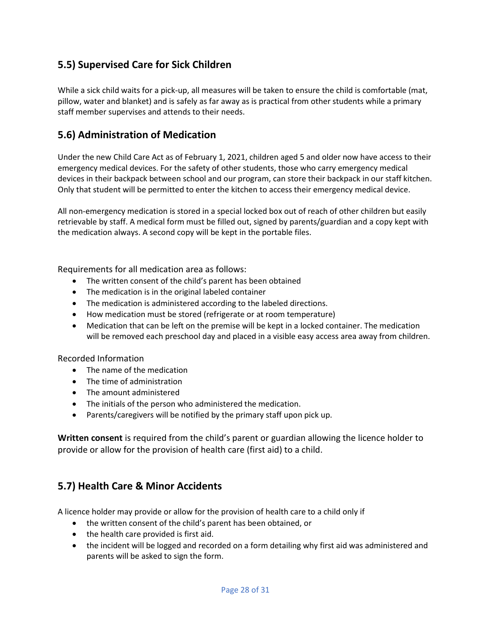## **5.5) Supervised Care for Sick Children**

While a sick child waits for a pick-up, all measures will be taken to ensure the child is comfortable (mat, pillow, water and blanket) and is safely as far away as is practical from other students while a primary staff member supervises and attends to their needs.

## **5.6) Administration of Medication**

Under the new Child Care Act as of February 1, 2021, children aged 5 and older now have access to their emergency medical devices. For the safety of other students, those who carry emergency medical devices in their backpack between school and our program, can store their backpack in our staff kitchen. Only that student will be permitted to enter the kitchen to access their emergency medical device.

All non-emergency medication is stored in a special locked box out of reach of other children but easily retrievable by staff. A medical form must be filled out, signed by parents/guardian and a copy kept with the medication always. A second copy will be kept in the portable files.

Requirements for all medication area as follows:

- The written consent of the child's parent has been obtained
- The medication is in the original labeled container
- The medication is administered according to the labeled directions.
- How medication must be stored (refrigerate or at room temperature)
- Medication that can be left on the premise will be kept in a locked container. The medication will be removed each preschool day and placed in a visible easy access area away from children.

#### Recorded Information

- The name of the medication
- The time of administration
- The amount administered
- The initials of the person who administered the medication.
- Parents/caregivers will be notified by the primary staff upon pick up.

**Written consent** is required from the child's parent or guardian allowing the licence holder to provide or allow for the provision of health care (first aid) to a child.

### **5.7) Health Care & Minor Accidents**

A licence holder may provide or allow for the provision of health care to a child only if

- the written consent of the child's parent has been obtained, or
- the health care provided is first aid.
- the incident will be logged and recorded on a form detailing why first aid was administered and parents will be asked to sign the form.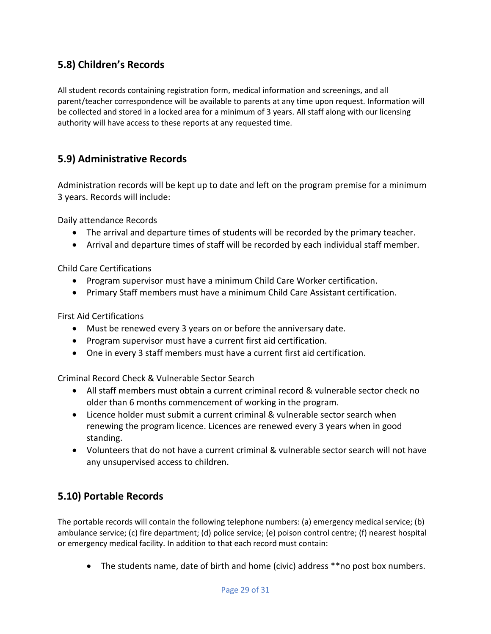## **5.8) Children's Records**

All student records containing registration form, medical information and screenings, and all parent/teacher correspondence will be available to parents at any time upon request. Information will be collected and stored in a locked area for a minimum of 3 years. All staff along with our licensing authority will have access to these reports at any requested time.

## **5.9) Administrative Records**

Administration records will be kept up to date and left on the program premise for a minimum 3 years. Records will include:

Daily attendance Records

- The arrival and departure times of students will be recorded by the primary teacher.
- Arrival and departure times of staff will be recorded by each individual staff member.

Child Care Certifications

- Program supervisor must have a minimum Child Care Worker certification.
- Primary Staff members must have a minimum Child Care Assistant certification.

First Aid Certifications

- Must be renewed every 3 years on or before the anniversary date.
- Program supervisor must have a current first aid certification.
- One in every 3 staff members must have a current first aid certification.

Criminal Record Check & Vulnerable Sector Search

- All staff members must obtain a current criminal record & vulnerable sector check no older than 6 months commencement of working in the program.
- Licence holder must submit a current criminal & vulnerable sector search when renewing the program licence. Licences are renewed every 3 years when in good standing.
- Volunteers that do not have a current criminal & vulnerable sector search will not have any unsupervised access to children.

## **5.10) Portable Records**

The portable records will contain the following telephone numbers: (a) emergency medical service; (b) ambulance service; (c) fire department; (d) police service; (e) poison control centre; (f) nearest hospital or emergency medical facility. In addition to that each record must contain:

• The students name, date of birth and home (civic) address \*\*no post box numbers.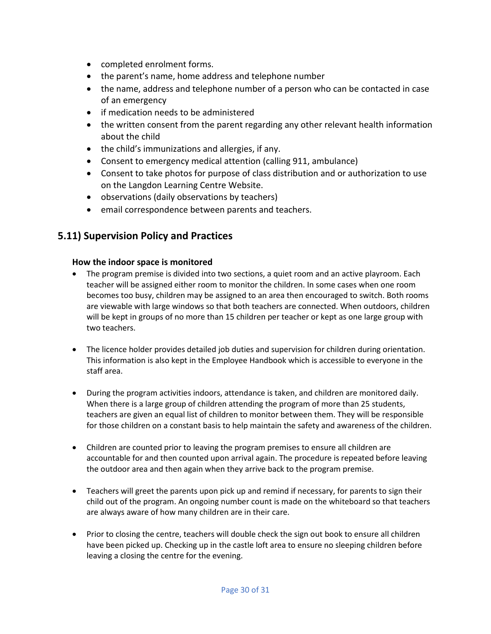- completed enrolment forms.
- the parent's name, home address and telephone number
- the name, address and telephone number of a person who can be contacted in case of an emergency
- if medication needs to be administered
- the written consent from the parent regarding any other relevant health information about the child
- the child's immunizations and allergies, if any.
- Consent to emergency medical attention (calling 911, ambulance)
- Consent to take photos for purpose of class distribution and or authorization to use on the Langdon Learning Centre Website.
- observations (daily observations by teachers)
- email correspondence between parents and teachers.

## **5.11) Supervision Policy and Practices**

#### **How the indoor space is monitored**

- The program premise is divided into two sections, a quiet room and an active playroom. Each teacher will be assigned either room to monitor the children. In some cases when one room becomes too busy, children may be assigned to an area then encouraged to switch. Both rooms are viewable with large windows so that both teachers are connected. When outdoors, children will be kept in groups of no more than 15 children per teacher or kept as one large group with two teachers.
- The licence holder provides detailed job duties and supervision for children during orientation. This information is also kept in the Employee Handbook which is accessible to everyone in the staff area.
- During the program activities indoors, attendance is taken, and children are monitored daily. When there is a large group of children attending the program of more than 25 students, teachers are given an equal list of children to monitor between them. They will be responsible for those children on a constant basis to help maintain the safety and awareness of the children.
- Children are counted prior to leaving the program premises to ensure all children are accountable for and then counted upon arrival again. The procedure is repeated before leaving the outdoor area and then again when they arrive back to the program premise.
- Teachers will greet the parents upon pick up and remind if necessary, for parents to sign their child out of the program. An ongoing number count is made on the whiteboard so that teachers are always aware of how many children are in their care.
- Prior to closing the centre, teachers will double check the sign out book to ensure all children have been picked up. Checking up in the castle loft area to ensure no sleeping children before leaving a closing the centre for the evening.